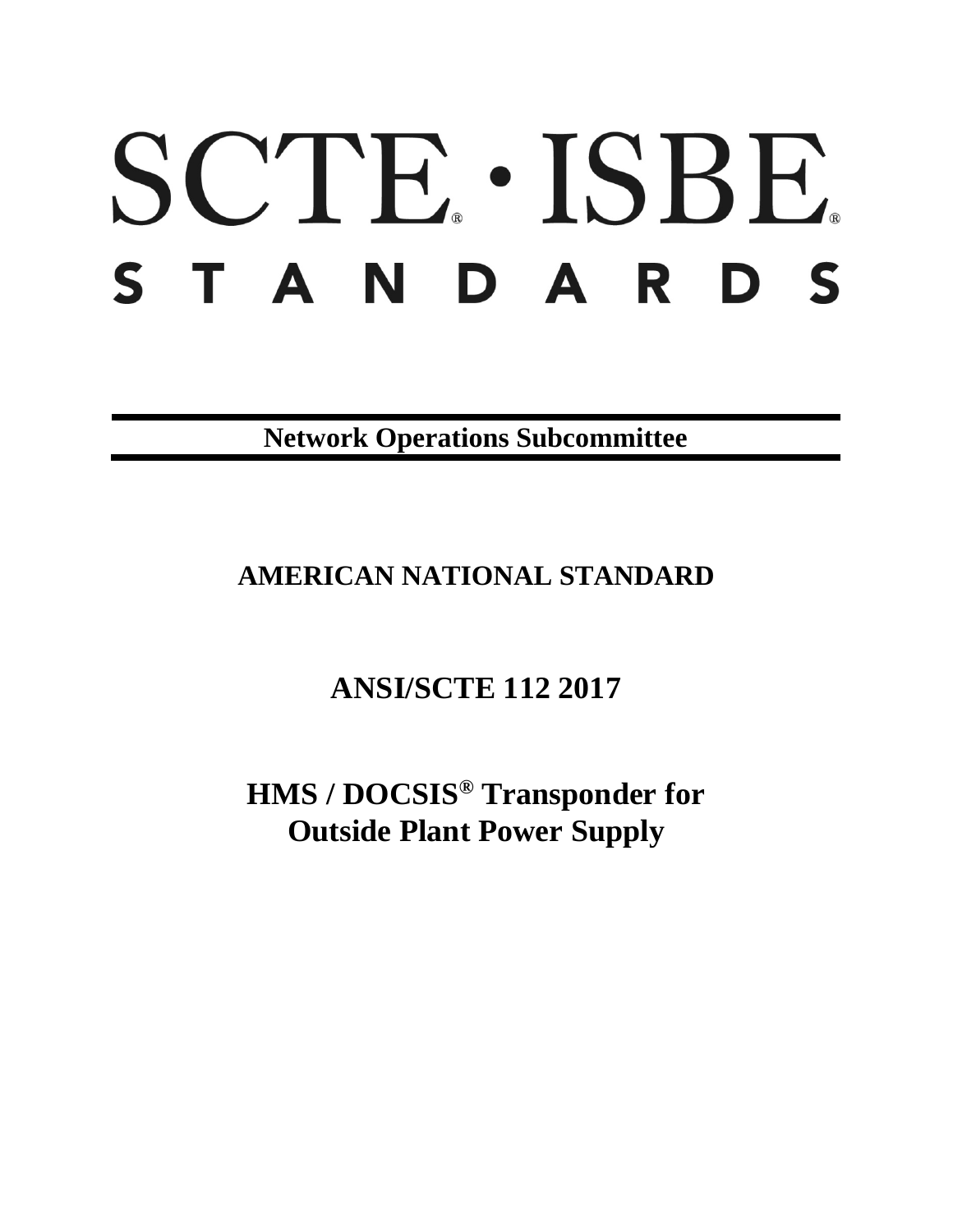# SCTE · ISBE. STANDARDS

**Network Operations Subcommittee**

## **AMERICAN NATIONAL STANDARD**

# **ANSI/SCTE 112 2017**

**HMS / DOCSIS® Transponder for Outside Plant Power Supply**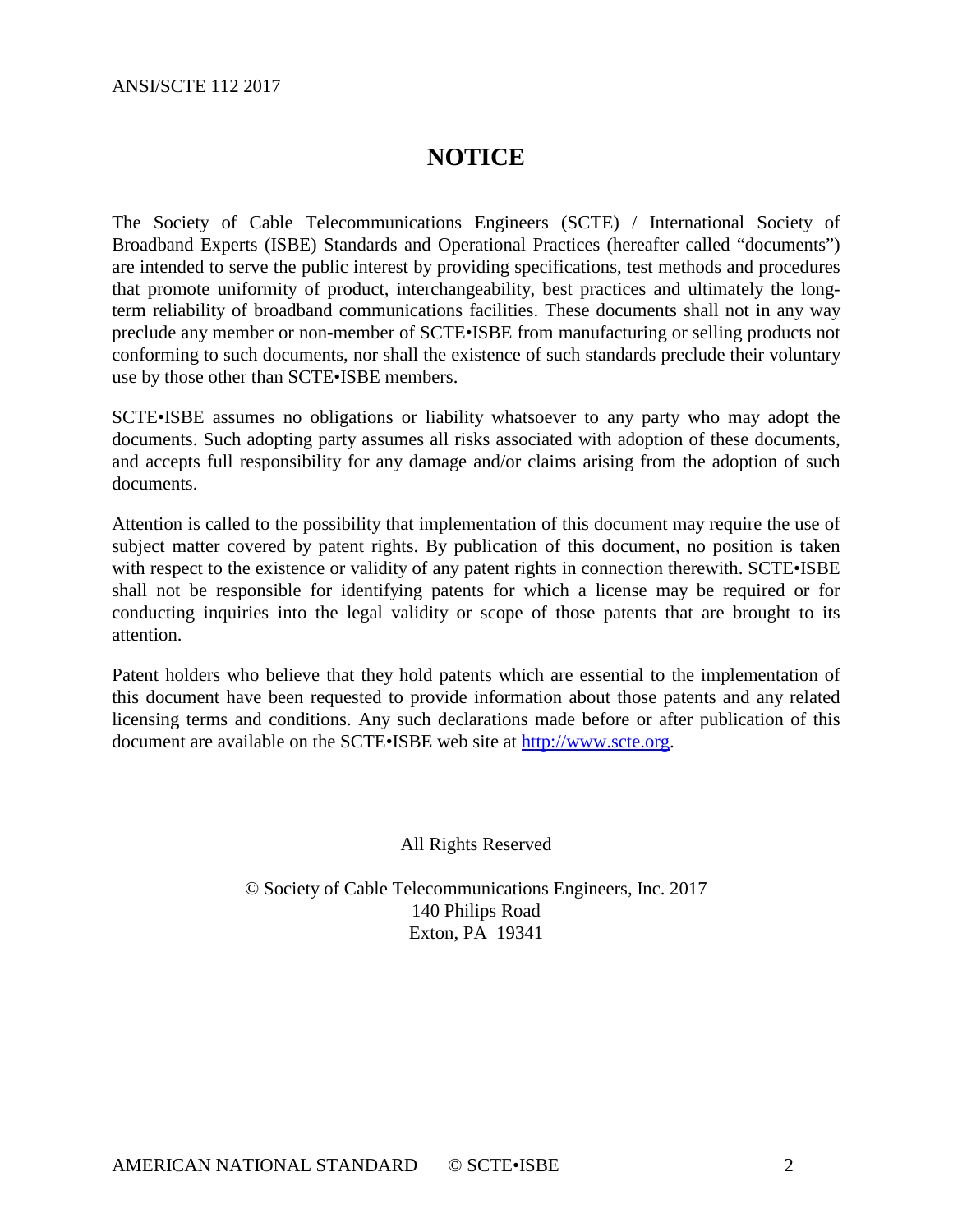#### **NOTICE**

The Society of Cable Telecommunications Engineers (SCTE) / International Society of Broadband Experts (ISBE) Standards and Operational Practices (hereafter called "documents") are intended to serve the public interest by providing specifications, test methods and procedures that promote uniformity of product, interchangeability, best practices and ultimately the longterm reliability of broadband communications facilities. These documents shall not in any way preclude any member or non-member of SCTE•ISBE from manufacturing or selling products not conforming to such documents, nor shall the existence of such standards preclude their voluntary use by those other than SCTE•ISBE members.

SCTE•ISBE assumes no obligations or liability whatsoever to any party who may adopt the documents. Such adopting party assumes all risks associated with adoption of these documents, and accepts full responsibility for any damage and/or claims arising from the adoption of such documents.

Attention is called to the possibility that implementation of this document may require the use of subject matter covered by patent rights. By publication of this document, no position is taken with respect to the existence or validity of any patent rights in connection therewith. SCTE•ISBE shall not be responsible for identifying patents for which a license may be required or for conducting inquiries into the legal validity or scope of those patents that are brought to its attention.

Patent holders who believe that they hold patents which are essential to the implementation of this document have been requested to provide information about those patents and any related licensing terms and conditions. Any such declarations made before or after publication of this document are available on the SCTE•ISBE web site at [http://www.scte.org.](http://www.scte.org/)

All Rights Reserved

© Society of Cable Telecommunications Engineers, Inc. 2017 140 Philips Road Exton, PA 19341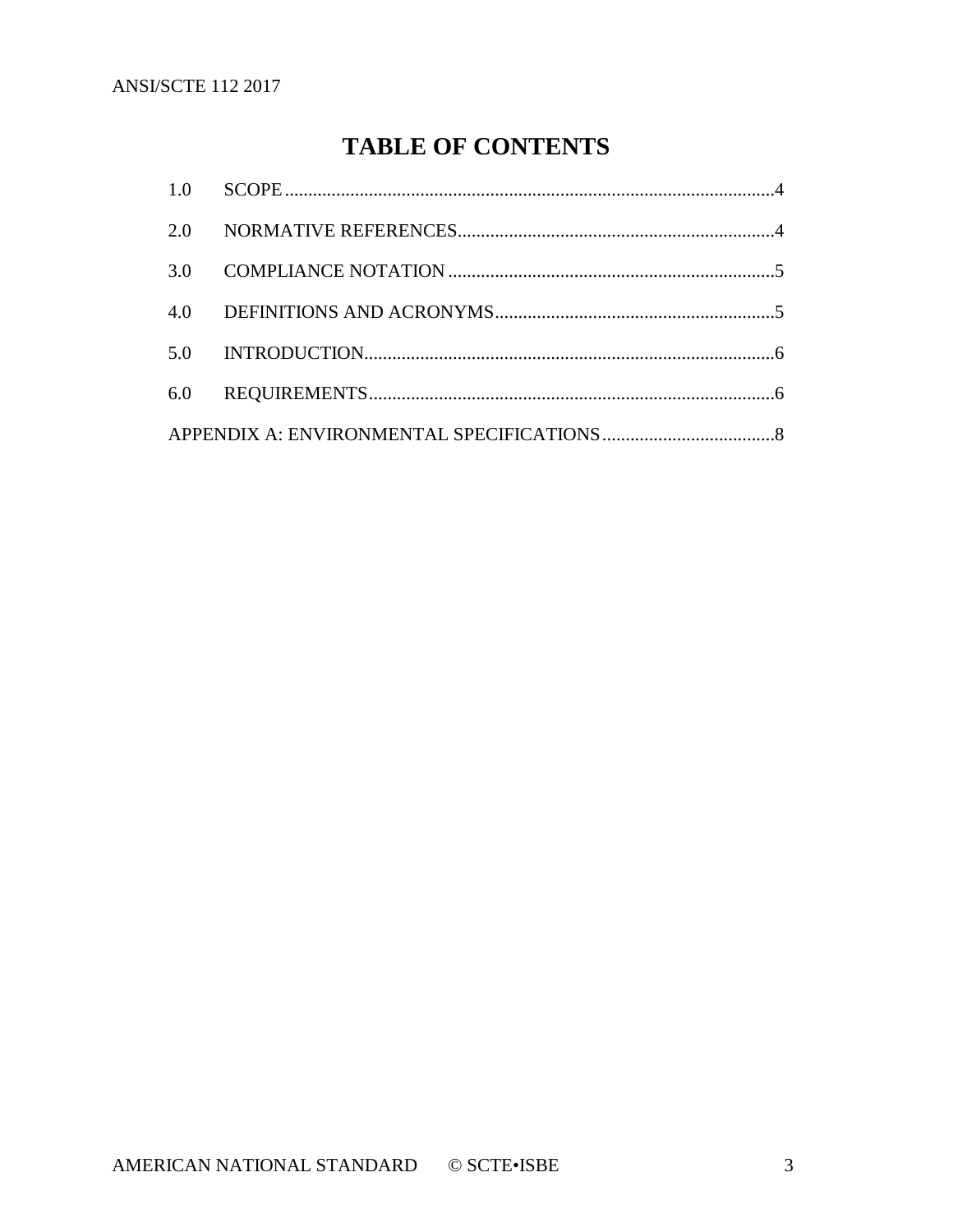### **TABLE OF CONTENTS**

| 6.0 |  |  |  |
|-----|--|--|--|
|     |  |  |  |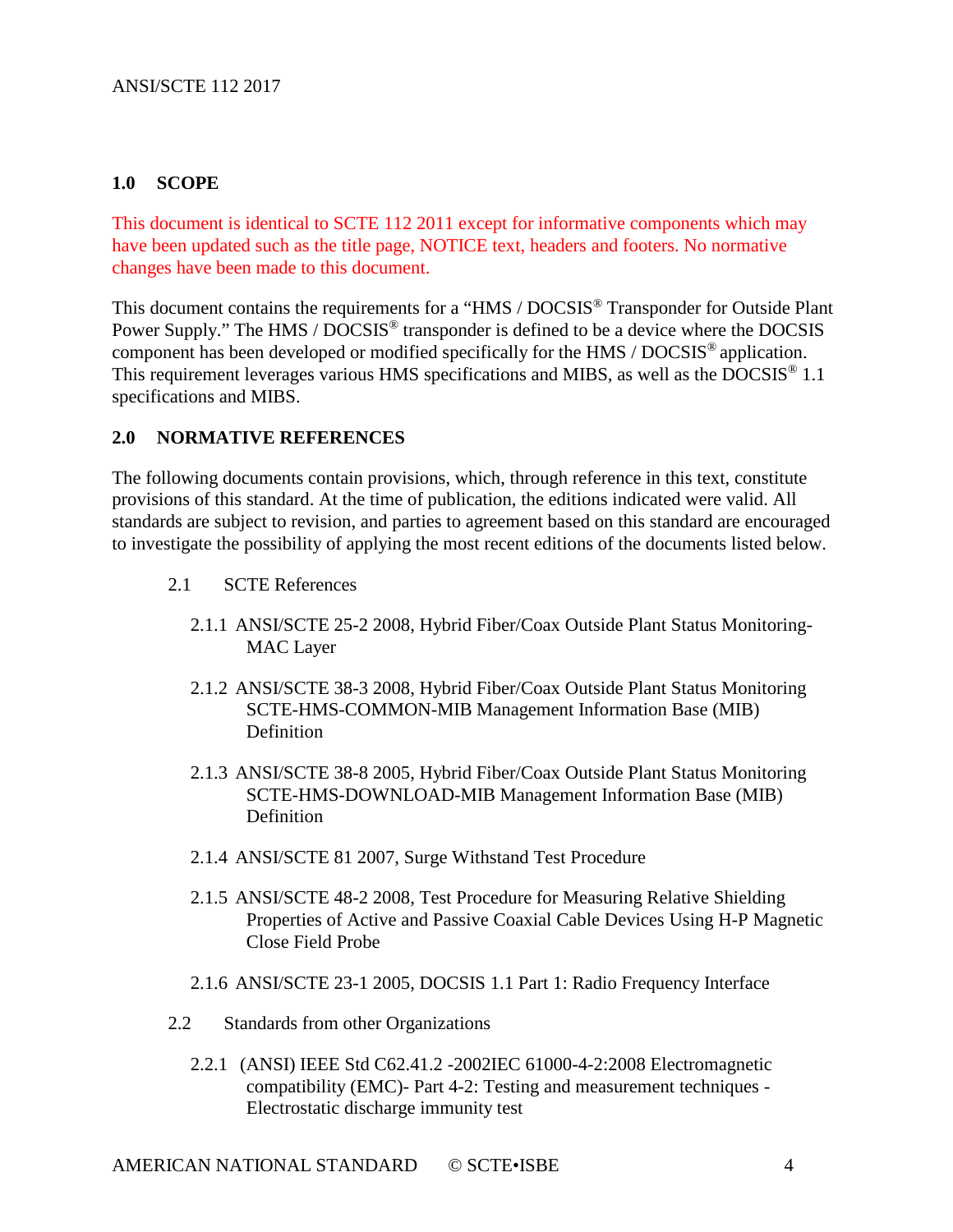#### <span id="page-3-0"></span>**1.0 SCOPE**

This document is identical to SCTE 112 2011 except for informative components which may have been updated such as the title page, NOTICE text, headers and footers. No normative changes have been made to this document.

This document contains the requirements for a "HMS / DOCSIS® Transponder for Outside Plant Power Supply." The HMS / DOCSIS<sup>®</sup> transponder is defined to be a device where the DOCSIS component has been developed or modified specifically for the HMS / DOCSIS® application. This requirement leverages various HMS specifications and MIBS, as well as the DOCSIS® 1.1 specifications and MIBS.

#### <span id="page-3-1"></span>**2.0 NORMATIVE REFERENCES**

The following documents contain provisions, which, through reference in this text, constitute provisions of this standard. At the time of publication, the editions indicated were valid. All standards are subject to revision, and parties to agreement based on this standard are encouraged to investigate the possibility of applying the most recent editions of the documents listed below.

- 2.1 SCTE References
	- 2.1.1 ANSI/SCTE 25-2 2008, Hybrid Fiber/Coax Outside Plant Status Monitoring-MAC Layer
	- 2.1.2 ANSI/SCTE 38-3 2008, Hybrid Fiber/Coax Outside Plant Status Monitoring SCTE-HMS-COMMON-MIB Management Information Base (MIB) **Definition**
	- 2.1.3 ANSI/SCTE 38-8 2005, Hybrid Fiber/Coax Outside Plant Status Monitoring SCTE-HMS-DOWNLOAD-MIB Management Information Base (MIB) Definition
	- 2.1.4 ANSI/SCTE 81 2007, Surge Withstand Test Procedure
	- 2.1.5 ANSI/SCTE 48-2 2008, Test Procedure for Measuring Relative Shielding Properties of Active and Passive Coaxial Cable Devices Using H-P Magnetic Close Field Probe
	- 2.1.6 ANSI/SCTE 23-1 2005, DOCSIS 1.1 Part 1: Radio Frequency Interface
- 2.2 Standards from other Organizations
	- 2.2.1 (ANSI) IEEE Std C62.41.2 -2002IEC 61000-4-2:2008 Electromagnetic compatibility (EMC)- Part 4-2: Testing and measurement techniques - Electrostatic discharge immunity test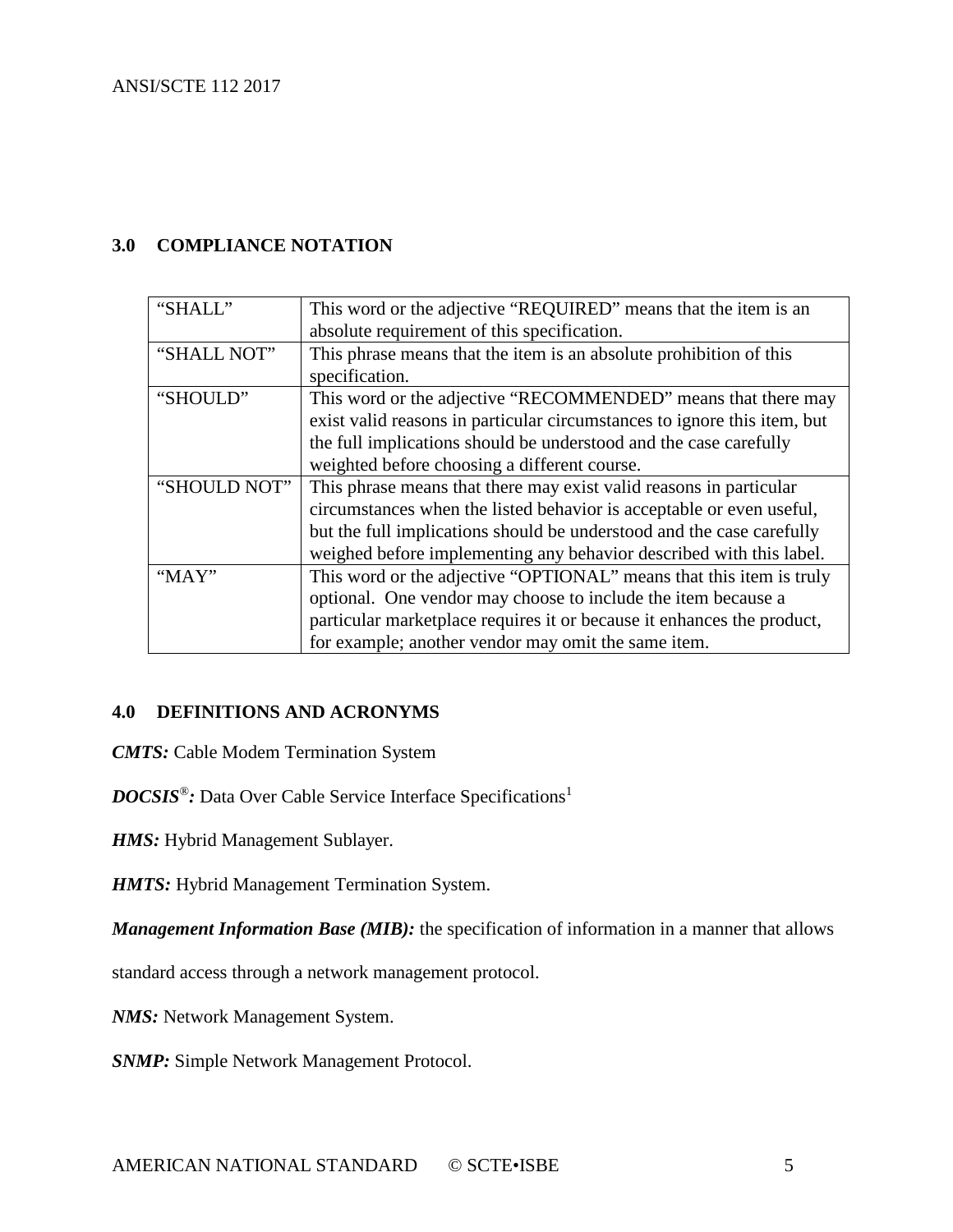#### <span id="page-4-0"></span>**3.0 COMPLIANCE NOTATION**

| "SHALI"      | This word or the adjective "REQUIRED" means that the item is an          |
|--------------|--------------------------------------------------------------------------|
|              | absolute requirement of this specification.                              |
| "SHALL NOT"  | This phrase means that the item is an absolute prohibition of this       |
|              | specification.                                                           |
| "SHOULD"     | This word or the adjective "RECOMMENDED" means that there may            |
|              | exist valid reasons in particular circumstances to ignore this item, but |
|              | the full implications should be understood and the case carefully        |
|              | weighted before choosing a different course.                             |
| "SHOULD NOT" | This phrase means that there may exist valid reasons in particular       |
|              | circumstances when the listed behavior is acceptable or even useful,     |
|              | but the full implications should be understood and the case carefully    |
|              | weighed before implementing any behavior described with this label.      |
| "MAY"        | This word or the adjective "OPTIONAL" means that this item is truly      |
|              | optional. One vendor may choose to include the item because a            |
|              | particular marketplace requires it or because it enhances the product,   |
|              | for example; another vendor may omit the same item.                      |

#### <span id="page-4-1"></span>**4.0 DEFINITIONS AND ACRONYMS**

*CMTS:* Cable Modem Termination System

*DOCSIS*®*:* Data Over Cable Service Interface Specifications<sup>1</sup>

*HMS:* Hybrid Management Sublayer.

*HMTS:* Hybrid Management Termination System.

*Management Information Base (MIB)*: the specification of information in a manner that allows

standard access through a network management protocol.

*NMS:* Network Management System.

*SNMP:* Simple Network Management Protocol.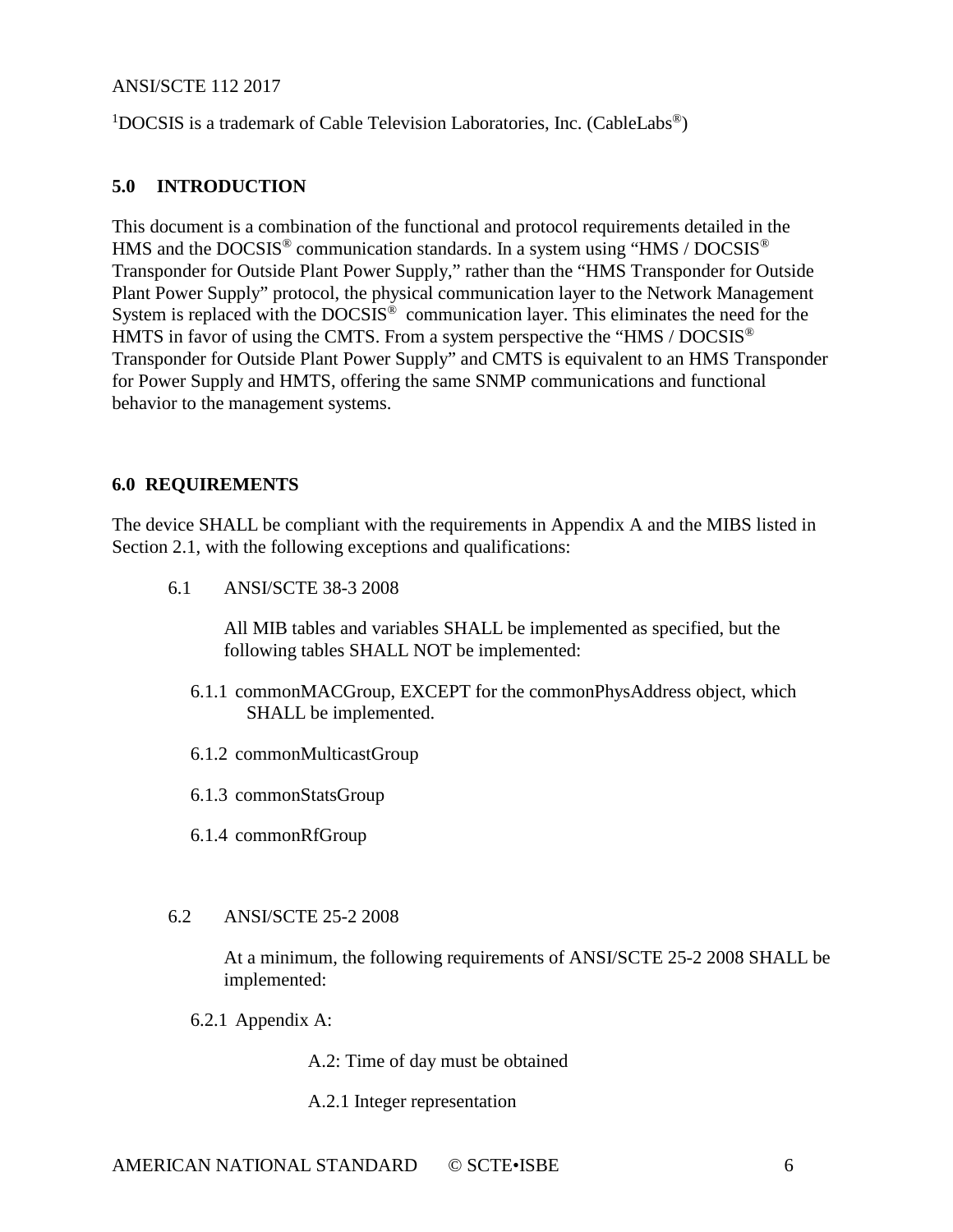#### ANSI/SCTE 112 2017

<sup>1</sup>DOCSIS is a trademark of Cable Television Laboratories, Inc. (CableLabs®)

#### <span id="page-5-0"></span>**5.0 INTRODUCTION**

This document is a combination of the functional and protocol requirements detailed in the HMS and the DOCSIS<sup>®</sup> communication standards. In a system using "HMS / DOCSIS<sup>®</sup> Transponder for Outside Plant Power Supply," rather than the "HMS Transponder for Outside Plant Power Supply" protocol, the physical communication layer to the Network Management System is replaced with the  $DOCSIS^{\&}$  communication layer. This eliminates the need for the HMTS in favor of using the CMTS. From a system perspective the "HMS / DOCSIS<sup>®</sup> Transponder for Outside Plant Power Supply" and CMTS is equivalent to an HMS Transponder for Power Supply and HMTS, offering the same SNMP communications and functional behavior to the management systems.

#### <span id="page-5-1"></span>**6.0 REQUIREMENTS**

The device SHALL be compliant with the requirements in Appendix A and the MIBS listed in Section 2.1, with the following exceptions and qualifications:

6.1 ANSI/SCTE 38-3 2008

All MIB tables and variables SHALL be implemented as specified, but the following tables SHALL NOT be implemented:

- 6.1.1 commonMACGroup, EXCEPT for the commonPhysAddress object, which SHALL be implemented.
- 6.1.2 commonMulticastGroup
- 6.1.3 commonStatsGroup
- 6.1.4 commonRfGroup

#### 6.2 ANSI/SCTE 25-2 2008

At a minimum, the following requirements of ANSI/SCTE 25-2 2008 SHALL be implemented:

- 6.2.1 Appendix A:
	- A.2: Time of day must be obtained
	- A.2.1 Integer representation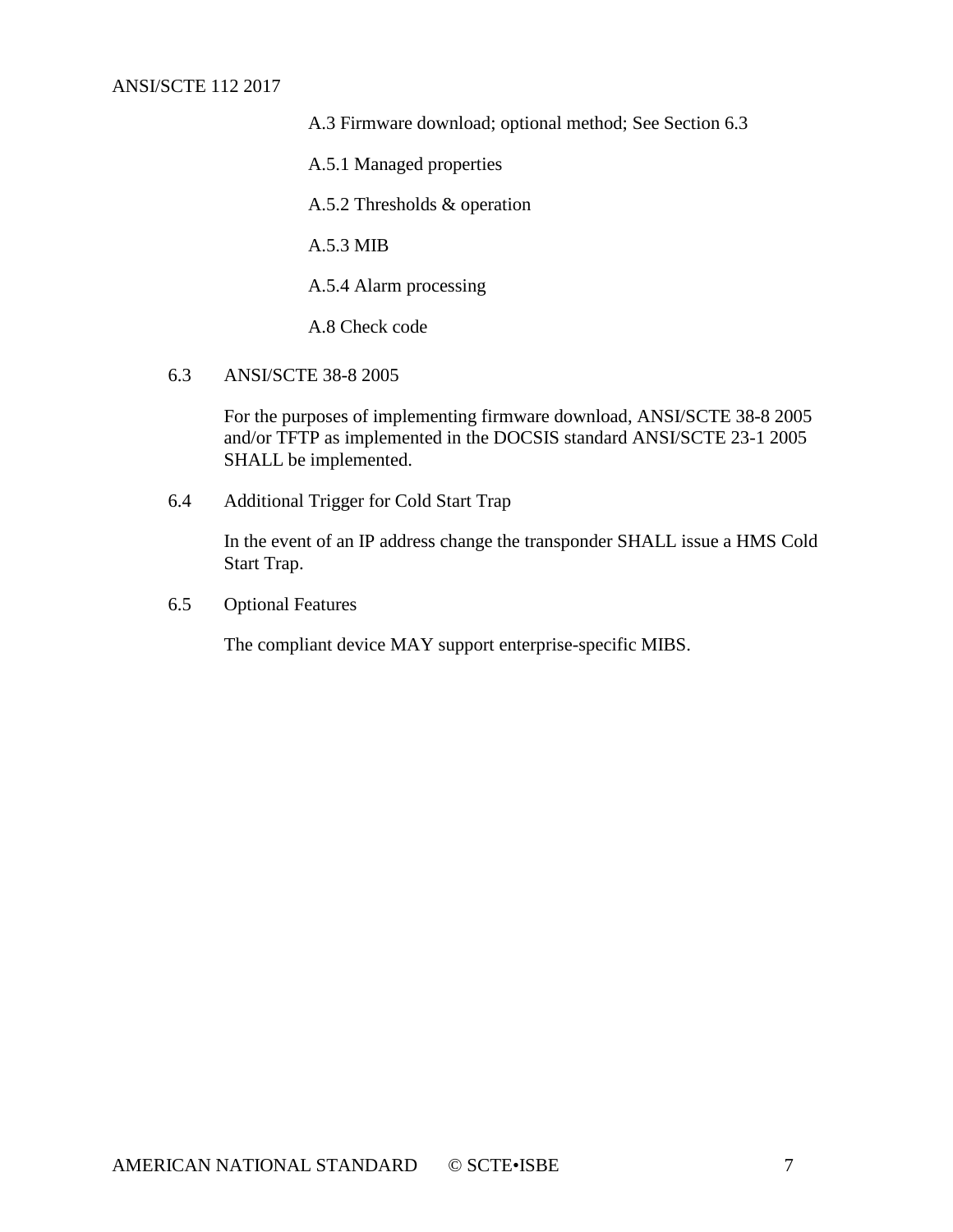#### ANSI/SCTE 112 2017

A.3 Firmware download; optional method; See Section 6.3

A.5.1 Managed properties

A.5.2 Thresholds & operation

A.5.3 MIB

A.5.4 Alarm processing

A.8 Check code

6.3 ANSI/SCTE 38-8 2005

For the purposes of implementing firmware download, ANSI/SCTE 38-8 2005 and/or TFTP as implemented in the DOCSIS standard ANSI/SCTE 23-1 2005 SHALL be implemented.

6.4 Additional Trigger for Cold Start Trap

In the event of an IP address change the transponder SHALL issue a HMS Cold Start Trap.

6.5 Optional Features

The compliant device MAY support enterprise-specific MIBS.